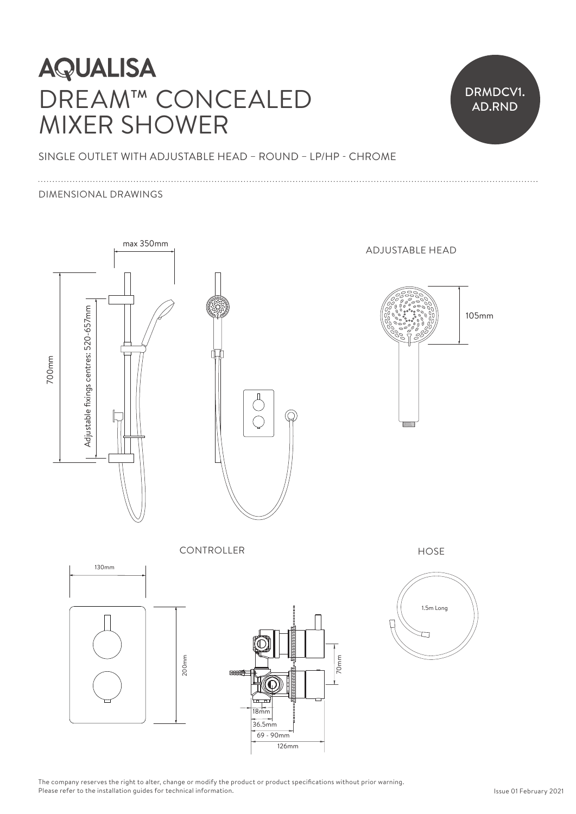# **AQUALISA** DREAM™ CONCEALED MIXER SHOWER



SINGLE OUTLET WITH ADJUSTABLE HEAD – ROUND – LP/HP - CHROME  $\frac{1}{10}$ 

#### DIMENSIONAL DRAWINGS



The company reserves the right to alter, change or modify the product or product specifications without prior warning. Please refer to the installation guides for technical information.